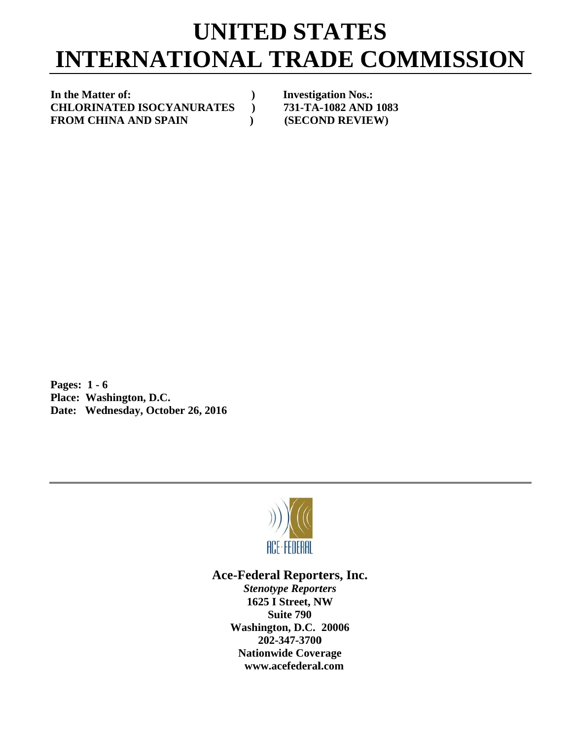## **INTERNATIONAL TRADE COMMISSION UNITED STATES**

 **)** 

 **)** 

In the Matter of: **C CHLORINA ATED ISOC CYANURA TES ) F FROM CHI INA AND S SPAIN** 

**Investigation Nos.: 731-TA- -1082 AND 1083 (SECOND REVIEW)** 

**P Pages: 1 - 6** Pages: 1 - 6<br>Place: Washington, D.C. Date: Wednesday, October 26, 2016



## Ace-Federal Reporters, Inc.

**Stenotype Reporters 1625 I Street, NW Washin gton, D.C. 20006 20 02-347-3700** 202-347-3700<br>Nationwide Coverage **www w.acefederal l.com Suite 790**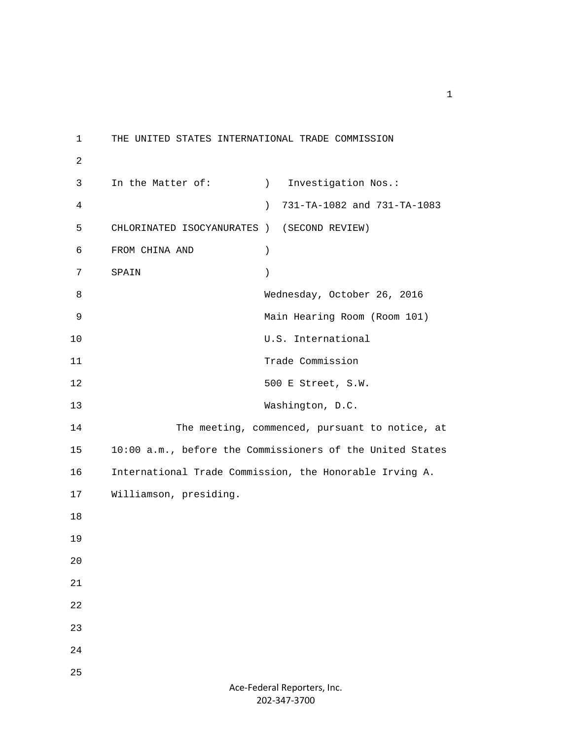1 THE UNITED STATES INTERNATIONAL TRADE COMMISSION 2 3 In the Matter of: (a) Investigation Nos.: 4 ) 731-TA-1082 and 731-TA-1083 5 CHLORINATED ISOCYANURATES ) (SECOND REVIEW) 6 FROM CHINA AND ) 7 SPAIN ) 8 Wednesday, October 26, 2016 9 Main Hearing Room (Room 101) 10 U.S. International 11 Trade Commission 12 500 E Street, S.W. 13 Washington, D.C. 14 The meeting, commenced, pursuant to notice, at 15 10:00 a.m., before the Commissioners of the United States 16 International Trade Commission, the Honorable Irving A. 17 Williamson, presiding. 18 19 20 21 22 23 24 25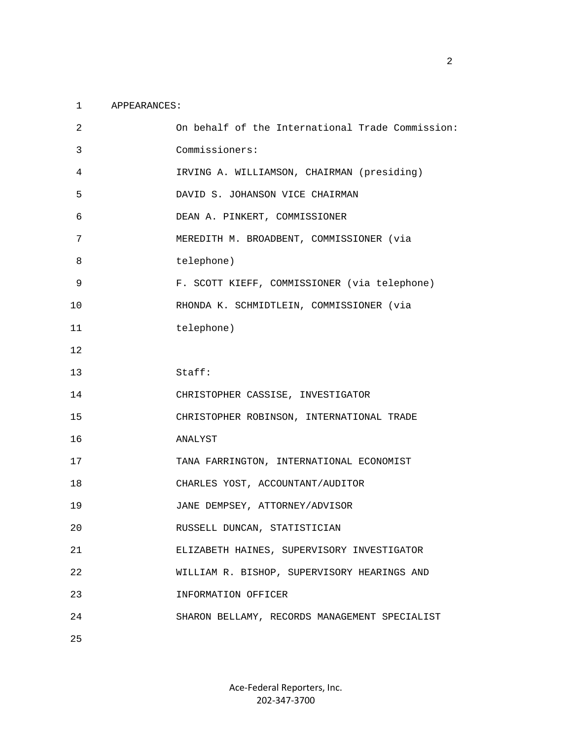## 1 APPEARANCES:

| $\overline{c}$ | On behalf of the International Trade Commission: |
|----------------|--------------------------------------------------|
| 3              | Commissioners:                                   |
| 4              | IRVING A. WILLIAMSON, CHAIRMAN (presiding)       |
| 5              | DAVID S. JOHANSON VICE CHAIRMAN                  |
| 6              | DEAN A. PINKERT, COMMISSIONER                    |
| 7              | MEREDITH M. BROADBENT, COMMISSIONER (via         |
| 8              | telephone)                                       |
| 9              | F. SCOTT KIEFF, COMMISSIONER (via telephone)     |
| 10             | RHONDA K. SCHMIDTLEIN, COMMISSIONER (via         |
| 11             | telephone)                                       |
| 12             |                                                  |
| 13             | Staff:                                           |
| 14             | CHRISTOPHER CASSISE, INVESTIGATOR                |
| 15             | CHRISTOPHER ROBINSON, INTERNATIONAL TRADE        |
| 16             | ANALYST                                          |
| 17             | TANA FARRINGTON, INTERNATIONAL ECONOMIST         |
| 18             | CHARLES YOST, ACCOUNTANT/AUDITOR                 |
| 19             | JANE DEMPSEY, ATTORNEY/ADVISOR                   |
| 20             | RUSSELL DUNCAN, STATISTICIAN                     |
| 21             | ELIZABETH HAINES, SUPERVISORY INVESTIGATOR       |
| 22             | WILLIAM R. BISHOP, SUPERVISORY HEARINGS AND      |
| 23             | INFORMATION OFFICER                              |
| 24             | SHARON BELLAMY, RECORDS MANAGEMENT SPECIALIST    |
| 25             |                                                  |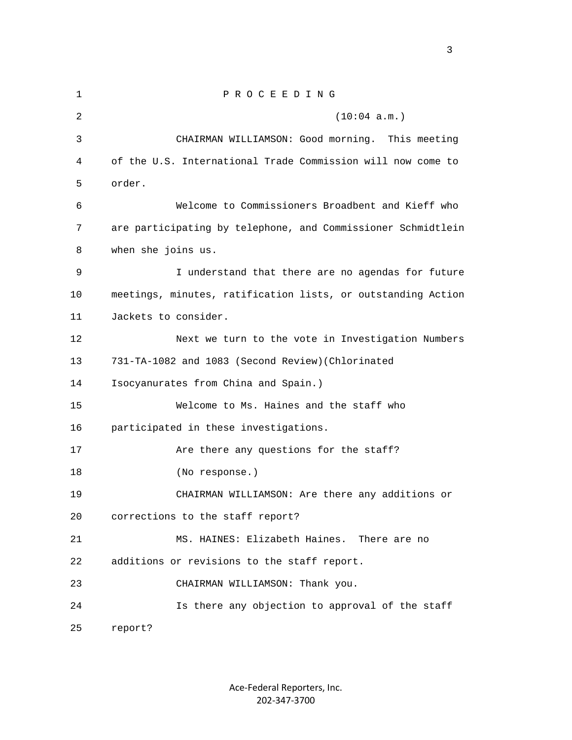| $\mathbf 1$ | PROCEEDING                                                   |
|-------------|--------------------------------------------------------------|
| 2           | (10:04 a.m.)                                                 |
| 3           | CHAIRMAN WILLIAMSON: Good morning. This meeting              |
| 4           | of the U.S. International Trade Commission will now come to  |
| 5           | order.                                                       |
| 6           | Welcome to Commissioners Broadbent and Kieff who             |
| 7           | are participating by telephone, and Commissioner Schmidtlein |
| 8           | when she joins us.                                           |
| 9           | I understand that there are no agendas for future            |
| 10          | meetings, minutes, ratification lists, or outstanding Action |
| 11          | Jackets to consider.                                         |
| 12          | Next we turn to the vote in Investigation Numbers            |
| 13          | 731-TA-1082 and 1083 (Second Review) (Chlorinated            |
| 14          | Isocyanurates from China and Spain.)                         |
| 15          | Welcome to Ms. Haines and the staff who                      |
| 16          | participated in these investigations.                        |
| 17          | Are there any questions for the staff?                       |
| 18          | (No response.)                                               |
| 19          | CHAIRMAN WILLIAMSON: Are there any additions or              |
| 20          | corrections to the staff report?                             |
| 21          | MS. HAINES: Elizabeth Haines. There are no                   |
| 22          | additions or revisions to the staff report.                  |
| 23          | CHAIRMAN WILLIAMSON: Thank you.                              |
| 24          | Is there any objection to approval of the staff              |
| 25          | report?                                                      |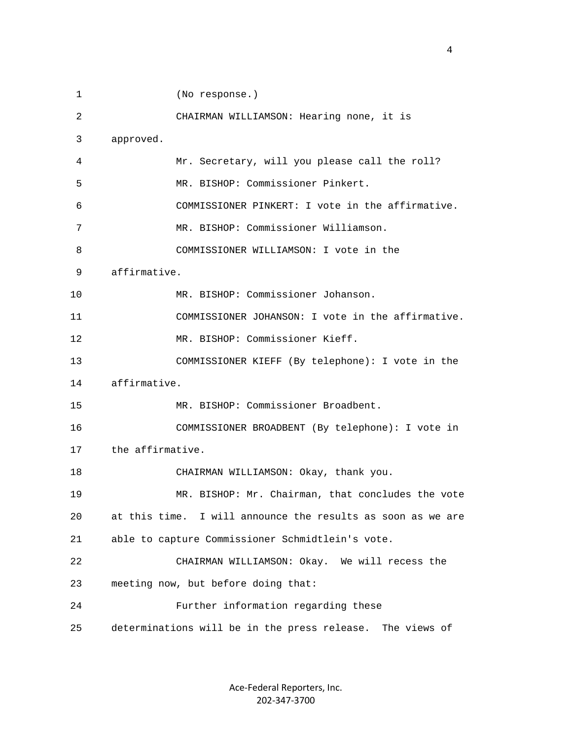1 (No response.) 2 CHAIRMAN WILLIAMSON: Hearing none, it is 3 approved. 4 Mr. Secretary, will you please call the roll? 5 MR. BISHOP: Commissioner Pinkert. 6 COMMISSIONER PINKERT: I vote in the affirmative. 7 MR. BISHOP: Commissioner Williamson. 8 COMMISSIONER WILLIAMSON: I vote in the 9 affirmative. 10 MR. BISHOP: Commissioner Johanson. 11 COMMISSIONER JOHANSON: I vote in the affirmative. 12 MR. BISHOP: Commissioner Kieff. 13 COMMISSIONER KIEFF (By telephone): I vote in the 14 affirmative. 15 MR. BISHOP: Commissioner Broadbent. 16 COMMISSIONER BROADBENT (By telephone): I vote in 17 the affirmative. 18 CHAIRMAN WILLIAMSON: Okay, thank you. 19 MR. BISHOP: Mr. Chairman, that concludes the vote 20 at this time. I will announce the results as soon as we are 21 able to capture Commissioner Schmidtlein's vote. 22 CHAIRMAN WILLIAMSON: Okay. We will recess the 23 meeting now, but before doing that: 24 Further information regarding these 25 determinations will be in the press release. The views of

> Ace‐Federal Reporters, Inc. 202‐347‐3700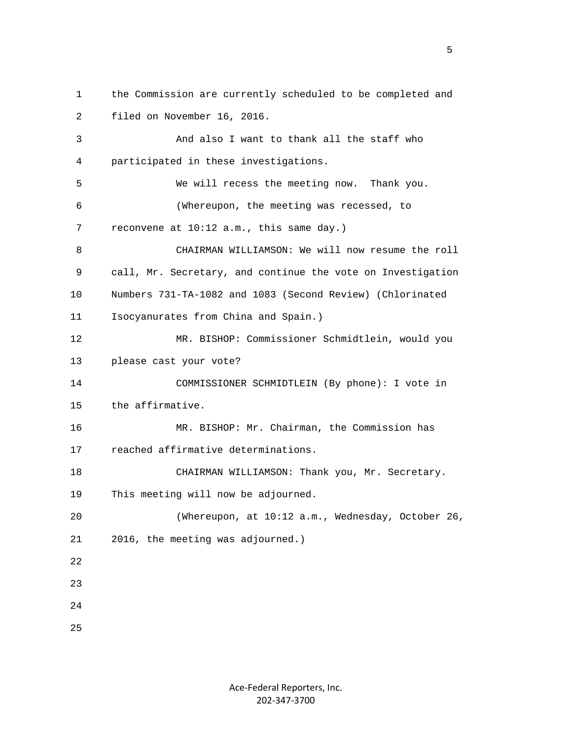1 the Commission are currently scheduled to be completed and 2 filed on November 16, 2016.

 3 And also I want to thank all the staff who 4 participated in these investigations. 5 We will recess the meeting now. Thank you. 6 (Whereupon, the meeting was recessed, to 7 reconvene at 10:12 a.m., this same day.) 8 CHAIRMAN WILLIAMSON: We will now resume the roll 9 call, Mr. Secretary, and continue the vote on Investigation 10 Numbers 731-TA-1082 and 1083 (Second Review) (Chlorinated 11 Isocyanurates from China and Spain.) 12 MR. BISHOP: Commissioner Schmidtlein, would you 13 please cast your vote? 14 COMMISSIONER SCHMIDTLEIN (By phone): I vote in 15 the affirmative. 16 MR. BISHOP: Mr. Chairman, the Commission has 17 reached affirmative determinations. 18 CHAIRMAN WILLIAMSON: Thank you, Mr. Secretary. 19 This meeting will now be adjourned. 20 (Whereupon, at 10:12 a.m., Wednesday, October 26, 21 2016, the meeting was adjourned.) 22 23 24 25